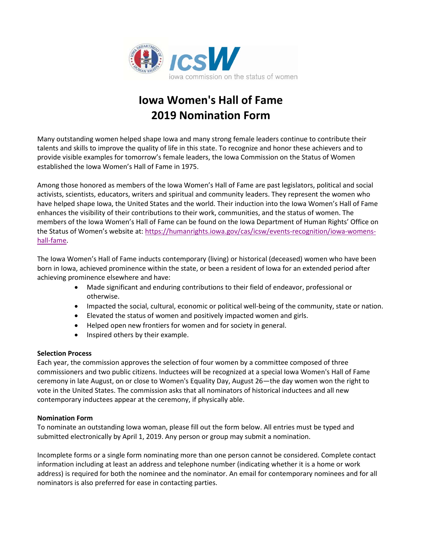

# **Iowa Women's Hall of Fame 2019 Nomination Form**

Many outstanding women helped shape Iowa and many strong female leaders continue to contribute their talents and skills to improve the quality of life in this state. To recognize and honor these achievers and to provide visible examples for tomorrow's female leaders, the Iowa Commission on the Status of Women established the Iowa Women's Hall of Fame in 1975.

Among those honored as members of the Iowa Women's Hall of Fame are past legislators, political and social activists, scientists, educators, writers and spiritual and community leaders. They represent the women who have helped shape Iowa, the United States and the world. Their induction into the Iowa Women's Hall of Fame enhances the visibility of their contributions to their work, communities, and the status of women. The members of the Iowa Women's Hall of Fame can be found on the Iowa Department of Human Rights' Office on the Status of Women's website at: [https://humanrights.iowa.gov/cas/icsw/events-recognition/iowa-womens](https://humanrights.iowa.gov/cas/icsw/events-recognition/iowa-womens-hall-fame)[hall-fame.](https://humanrights.iowa.gov/cas/icsw/events-recognition/iowa-womens-hall-fame)

The Iowa Women's Hall of Fame inducts contemporary (living) or historical (deceased) women who have been born in Iowa, achieved prominence within the state, or been a resident of Iowa for an extended period after achieving prominence elsewhere and have:

- Made significant and enduring contributions to their field of endeavor, professional or otherwise.
- Impacted the social, cultural, economic or political well-being of the community, state or nation.
- Elevated the status of women and positively impacted women and girls.
- Helped open new frontiers for women and for society in general.
- Inspired others by their example.

#### **Selection Process**

Each year, the commission approves the selection of four women by a committee composed of three commissioners and two public citizens. Inductees will be recognized at a special Iowa Women's Hall of Fame ceremony in late August, on or close to Women's Equality Day, August 26—the day women won the right to vote in the United States. The commission asks that all nominators of historical inductees and all new contemporary inductees appear at the ceremony, if physically able.

#### **Nomination Form**

To nominate an outstanding Iowa woman, please fill out the form below. All entries must be typed and submitted electronically by April 1, 2019. Any person or group may submit a nomination.

Incomplete forms or a single form nominating more than one person cannot be considered. Complete contact information including at least an address and telephone number (indicating whether it is a home or work address) is required for both the nominee and the nominator. An email for contemporary nominees and for all nominators is also preferred for ease in contacting parties.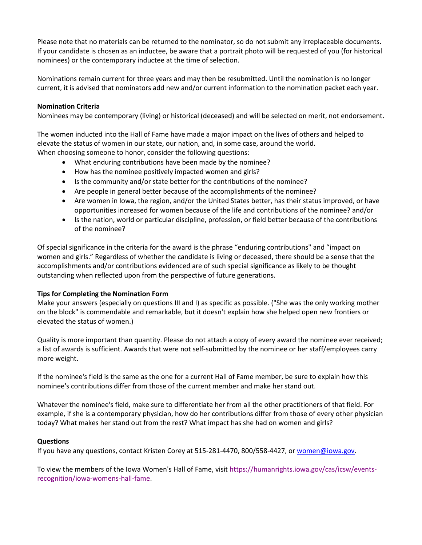Please note that no materials can be returned to the nominator, so do not submit any irreplaceable documents. If your candidate is chosen as an inductee, be aware that a portrait photo will be requested of you (for historical nominees) or the contemporary inductee at the time of selection.

Nominations remain current for three years and may then be resubmitted. Until the nomination is no longer current, it is advised that nominators add new and/or current information to the nomination packet each year.

#### **Nomination Criteria**

Nominees may be contemporary (living) or historical (deceased) and will be selected on merit, not endorsement.

The women inducted into the Hall of Fame have made a major impact on the lives of others and helped to elevate the status of women in our state, our nation, and, in some case, around the world. When choosing someone to honor, consider the following questions:

- What enduring contributions have been made by the nominee?
- How has the nominee positively impacted women and girls?
- Is the community and/or state better for the contributions of the nominee?
- Are people in general better because of the accomplishments of the nominee?
- Are women in Iowa, the region, and/or the United States better, has their status improved, or have opportunities increased for women because of the life and contributions of the nominee? and/or
- Is the nation, world or particular discipline, profession, or field better because of the contributions of the nominee?

Of special significance in the criteria for the award is the phrase "enduring contributions" and "impact on women and girls." Regardless of whether the candidate is living or deceased, there should be a sense that the accomplishments and/or contributions evidenced are of such special significance as likely to be thought outstanding when reflected upon from the perspective of future generations.

#### **Tips for Completing the Nomination Form**

Make your answers (especially on questions III and I) as specific as possible. ("She was the only working mother on the block" is commendable and remarkable, but it doesn't explain how she helped open new frontiers or elevated the status of women.)

Quality is more important than quantity. Please do not attach a copy of every award the nominee ever received; a list of awards is sufficient. Awards that were not self-submitted by the nominee or her staff/employees carry more weight.

If the nominee's field is the same as the one for a current Hall of Fame member, be sure to explain how this nominee's contributions differ from those of the current member and make her stand out.

Whatever the nominee's field, make sure to differentiate her from all the other practitioners of that field. For example, if she is a contemporary physician, how do her contributions differ from those of every other physician today? What makes her stand out from the rest? What impact has she had on women and girls?

#### **Questions**

If you have any questions, contact Kristen Corey at 515-281-4470, 800/558-4427, or [women@iowa.gov.](mailto:women@iowa.gov)

To view the members of the Iowa Women's Hall of Fame, visit [https://humanrights.iowa.gov/cas/icsw/events](https://humanrights.iowa.gov/cas/icsw/events-recognition/iowa-womens-hall-fame)[recognition/iowa-womens-hall-fame.](https://humanrights.iowa.gov/cas/icsw/events-recognition/iowa-womens-hall-fame)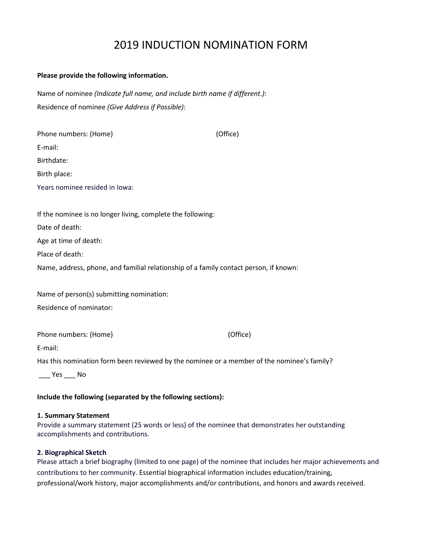# 2019 INDUCTION NOMINATION FORM

#### **Please provide the following information.**

Name of nominee *(Indicate full name, and include birth name if different*.*)*: Residence of nominee *(Give Address if Possible)*:

| Phone numbers: (Home)                                       | (Office)                                                                              |
|-------------------------------------------------------------|---------------------------------------------------------------------------------------|
| E-mail:                                                     |                                                                                       |
| Birthdate:                                                  |                                                                                       |
| Birth place:                                                |                                                                                       |
| Years nominee resided in lowa:                              |                                                                                       |
|                                                             |                                                                                       |
| If the nominee is no longer living, complete the following: |                                                                                       |
| Date of death:                                              |                                                                                       |
| Age at time of death:                                       |                                                                                       |
| Place of death:                                             |                                                                                       |
|                                                             | Name, address, phone, and familial relationship of a family contact person, if known: |
|                                                             |                                                                                       |
| Name of person(s) submitting nomination:                    |                                                                                       |
| Residence of nominator:                                     |                                                                                       |

Phone numbers: (Home) (Office)

Has this nomination form been reviewed by the nominee or a member of the nominee's family?

\_\_\_ Yes \_\_\_ No

E-mail:

# **Include the following (separated by the following sections):**

#### **1. Summary Statement**

Provide a summary statement (25 words or less) of the nominee that demonstrates her outstanding accomplishments and contributions.

#### **2. Biographical Sketch**

Please attach a brief biography (limited to one page) of the nominee that includes her major achievements and contributions to her community. Essential biographical information includes education/training, professional/work history, major accomplishments and/or contributions, and honors and awards received.